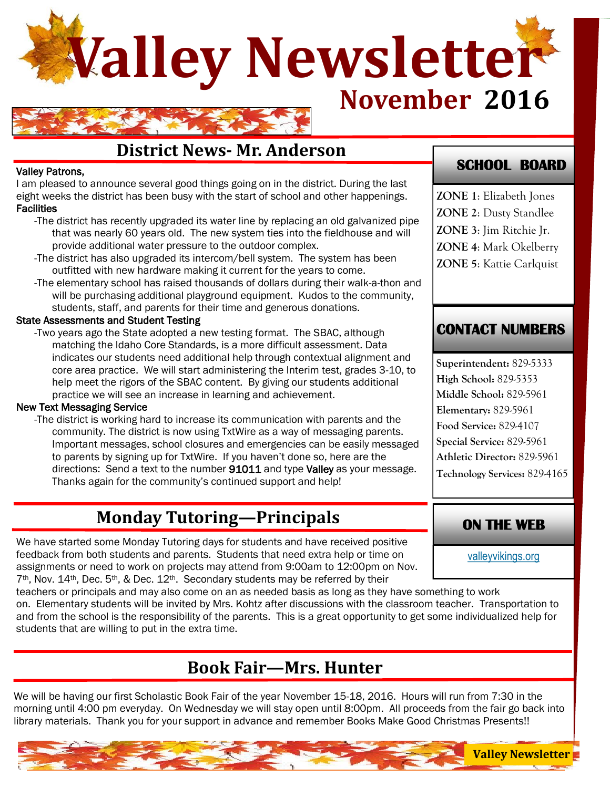

## **District News- Mr. Anderson**

#### Valley Patrons,

I am pleased to announce several good things going on in the district. During the last eight weeks the district has been busy with the start of school and other happenings. **Facilities** 

- -The district has recently upgraded its water line by replacing an old galvanized pipe that was nearly 60 years old. The new system ties into the fieldhouse and will provide additional water pressure to the outdoor complex.
- -The district has also upgraded its intercom/bell system. The system has been outfitted with new hardware making it current for the years to come.
- -The elementary school has raised thousands of dollars during their walk-a-thon and will be purchasing additional playground equipment. Kudos to the community, students, staff, and parents for their time and generous donations.

#### State Assessments and Student Testing

-Two years ago the State adopted a new testing format. The SBAC, although matching the Idaho Core Standards, is a more difficult assessment. Data indicates our students need additional help through contextual alignment and core area practice. We will start administering the Interim test, grades 3-10, to help meet the rigors of the SBAC content. By giving our students additional practice we will see an increase in learning and achievement.

#### New Text Messaging Service

-The district is working hard to increase its communication with parents and the community. The district is now using TxtWire as a way of messaging parents. Important messages, school closures and emergencies can be easily messaged to parents by signing up for TxtWire. If you haven't done so, here are the directions: Send a text to the number 91011 and type Valley as your message. Thanks again for the community's continued support and help!

## **Monday Tutoring—Principals**

We have started some Monday Tutoring days for students and have received positive feedback from both students and parents. Students that need extra help or time on assignments or need to work on projects may attend from 9:00am to 12:00pm on Nov.  $7<sup>th</sup>$ , Nov. 14<sup>th</sup>, Dec. 5<sup>th</sup>, & Dec. 12<sup>th</sup>. Secondary students may be referred by their

teachers or principals and may also come on an as needed basis as long as they have something to work on. Elementary students will be invited by Mrs. Kohtz after discussions with the classroom teacher. Transportation to and from the school is the responsibility of the parents. This is a great opportunity to get some individualized help for students that are willing to put in the extra time.

## **Book Fair—Mrs. Hunter**

We will be having our first Scholastic Book Fair of the year November 15-18, 2016. Hours will run from 7:30 in the morning until 4:00 pm everyday. On Wednesday we will stay open until 8:00pm. All proceeds from the fair go back into library materials. Thank you for your support in advance and remember Books Make Good Christmas Presents!!

### **SCHOOL BOARD**

**ZONE 1**: Elizabeth Jones **ZONE 2**: Dusty Standlee **ZONE 3**: Jim Ritchie Jr. **ZONE 4**: Mark Okelberry **ZONE 5**: Kattie Carlquist

### **CONTACT NUMBERS**

**Superintendent:** 829-5333 **High School:** 829-5353 **Middle School:** 829-5961 **Elementary:** 829-5961 **Food Service:** 829-4107 **Special Service:** 829-5961 **Athletic Director:** 829-5961 **Technology Services:** 829-4165

### **ON THE WEB**

[valleyvikings.org](http://www.valleyvikings.org/)

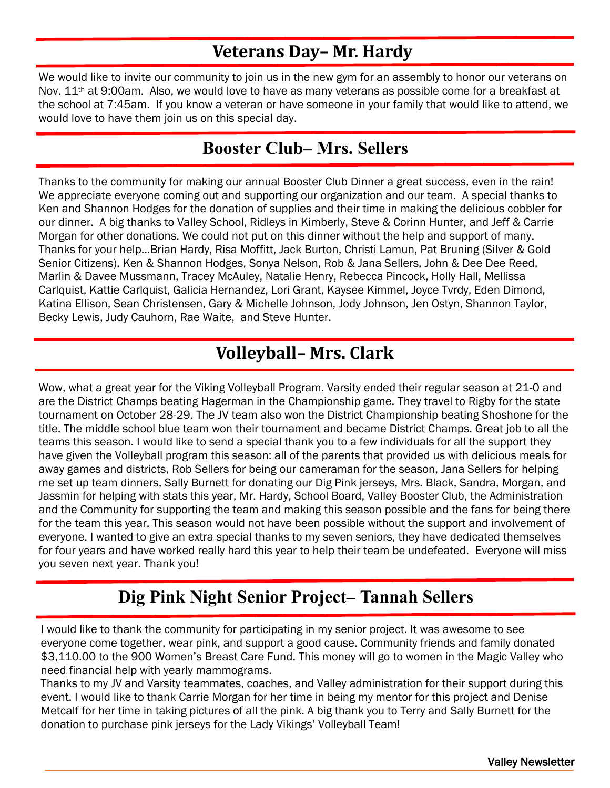# **Veterans Day– Mr. Hardy**

We would like to invite our community to join us in the new gym for an assembly to honor our veterans on Nov. 11<sup>th</sup> at 9:00am. Also, we would love to have as many veterans as possible come for a breakfast at the school at 7:45am. If you know a veteran or have someone in your family that would like to attend, we would love to have them join us on this special day.

## **Booster Club– Mrs. Sellers**

Thanks to the community for making our annual Booster Club Dinner a great success, even in the rain! We appreciate everyone coming out and supporting our organization and our team. A special thanks to Ken and Shannon Hodges for the donation of supplies and their time in making the delicious cobbler for our dinner. A big thanks to Valley School, Ridleys in Kimberly, Steve & Corinn Hunter, and Jeff & Carrie Morgan for other donations. We could not put on this dinner without the help and support of many. Thanks for your help…Brian Hardy, Risa Moffitt, Jack Burton, Christi Lamun, Pat Bruning (Silver & Gold Senior Citizens), Ken & Shannon Hodges, Sonya Nelson, Rob & Jana Sellers, John & Dee Dee Reed, Marlin & Davee Mussmann, Tracey McAuley, Natalie Henry, Rebecca Pincock, Holly Hall, Mellissa Carlquist, Kattie Carlquist, Galicia Hernandez, Lori Grant, Kaysee Kimmel, Joyce Tvrdy, Eden Dimond, Katina Ellison, Sean Christensen, Gary & Michelle Johnson, Jody Johnson, Jen Ostyn, Shannon Taylor, Becky Lewis, Judy Cauhorn, Rae Waite, and Steve Hunter.

# **Volleyball– Mrs. Clark**

Wow, what a great year for the Viking Volleyball Program. Varsity ended their regular season at 21-0 and are the District Champs beating Hagerman in the Championship game. They travel to Rigby for the state tournament on October 28-29. The JV team also won the District Championship beating Shoshone for the title. The middle school blue team won their tournament and became District Champs. Great job to all the teams this season. I would like to send a special thank you to a few individuals for all the support they have given the Volleyball program this season: all of the parents that provided us with delicious meals for away games and districts, Rob Sellers for being our cameraman for the season, Jana Sellers for helping me set up team dinners, Sally Burnett for donating our Dig Pink jerseys, Mrs. Black, Sandra, Morgan, and Jassmin for helping with stats this year, Mr. Hardy, School Board, Valley Booster Club, the Administration and the Community for supporting the team and making this season possible and the fans for being there for the team this year. This season would not have been possible without the support and involvement of everyone. I wanted to give an extra special thanks to my seven seniors, they have dedicated themselves for four years and have worked really hard this year to help their team be undefeated. Everyone will miss you seven next year. Thank you!

# **Dig Pink Night Senior Project– Tannah Sellers**

I would like to thank the community for participating in my senior project. It was awesome to see everyone come together, wear pink, and support a good cause. Community friends and family donated \$3,110.00 to the 900 Women's Breast Care Fund. This money will go to women in the Magic Valley who need financial help with yearly mammograms.

Thanks to my JV and Varsity teammates, coaches, and Valley administration for their support during this event. I would like to thank Carrie Morgan for her time in being my mentor for this project and Denise Metcalf for her time in taking pictures of all the pink. A big thank you to Terry and Sally Burnett for the donation to purchase pink jerseys for the Lady Vikings' Volleyball Team!